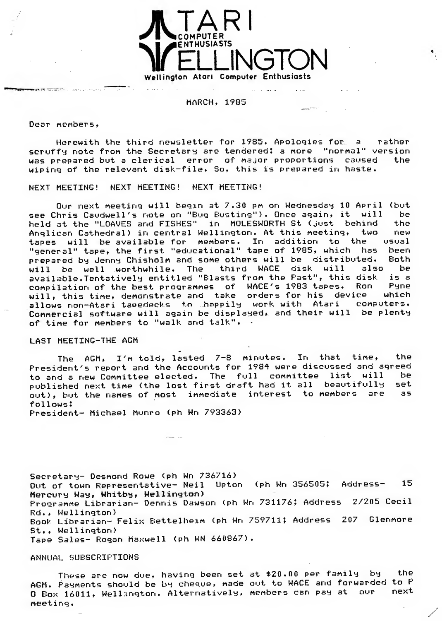

 $\sim$   $\sim$ 

الفرعسات المداري

 $\sim$   $\sim$   $\sim$ 

MARCH, 1985

Dear Menbers,

Herewith the third newsletter for 1985. Apologies for <sup>a</sup> rather scruffy note from the Secretary are tendered: a more "normal" version<br>was prepared but a clerical error, of major proportions, caused, the was prepared but a clerical error of major proportions caused wiping of the relevant disk-file. So. this is prepared in haste.

NEXT MEETING! NEXT MEETING! NEXT MEETING!

. . . . . . . . . <del>.</del>

Our next meeting will begin at 7.30 pm on Wednesday 10 April (but<br>bris Caudwell's note on "Bug Busting"). Once again, it will the see Chris Caudwell's note on "Bug Busting"). Once again, it will the<br>held at the "LOAVES and FISHES" in MOLESWORTH St (just behind the held at the "LOAVES and FISHES" in MOLESWORTH St (just behind the Anglican Cathedral) in central Wellington. At this meeting, two mew<br>tapes, will be available for members. In addition to the usual tapes will be available for members. In addition to the usual<br>"general" tape, the first "educational" tape of 1985, which has been "general" tape, the first "educational" tape of 1985, which has been<br>prepared by Jenny Chisholm and some others will be distributed. Both prepared by Jenny Chisholm and some others will be distributed. Both<br>will be well worthwhile. The third WACE disk will also be will be well worthwhile. The third WACE disk will also be<br>available.Tentatively\_entitled "Blasts\_from\_the\_Past",\_this\_disk\_\_is\_a available.Tentatively entitled "Blasts from the Past", this disk is a<br>compilation of the best programmes of WACE's 1983 tapes. Ron Pyne compilation of the best programmes of WACE's 1983 tapes. Ron Pyne<br>will, this time, demonstrate and take orders for his device which will, this time, demonstrate and take orders for his device allows non-Atari tapedecks to happily work with Atari computers. Commercial software will again be displayed, and their will be plenty of tine for nenbers to "walk 3nd talk".

LAST MEETING-THE AGM

The AGM. I'm told, lasted 7-8 Minutes. In that tine. the President's report and the Accounts for 1984 were discussed and agreed<br>to and a new Committee elected. The full committee list will be to and a new Committee elected. The full committee list will be<br>published next time (the lost first draft had it all beautifully set published next time (the lost first draft had it all beautifully set<br>out), but the names of most immediate interest, to members, are as out), but the names of most immediate interest to members are follows!

President- Michael Munro (ph Wn 793363)

Secretary- Desmond Rowe (ph Wn 736716) Out of town Representative- Neil Upton (ph Wn 356505; Address- 15 Mercury Way. Whitby. Wellington) Programme Librarian— Dennis Dawson (ph Wn 731176! Address 2/205 Cecil Rd., Wellington) Book Librarian- Felix Bettelheim (ph Wn 759711; Address 207 Glenmore St.. Wellington) Tape Sales- Rogan Maxwell (ph WN 660867).

## ANNUAL SUBSCRIPTIONS

These are now due, having been set at \$20.00 per family by the AGM. Payments should be by cheque, made out to WACE and forwarded to P <sup>0</sup> Box 16011, Wellington. Alternatively, Menbers can pay at our nextMeeting.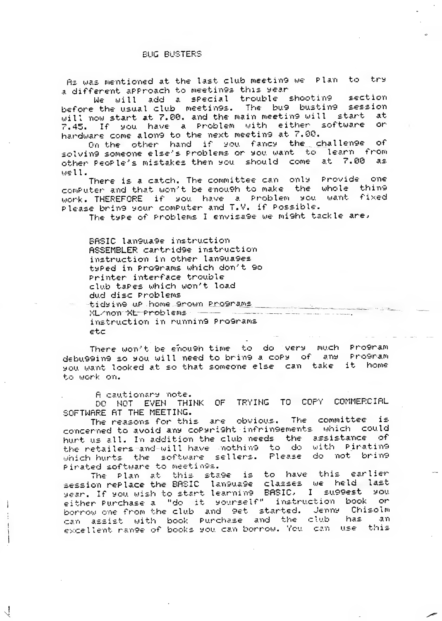## BUG BUSTERS

Fis was meritioned at the last club meeting we Plan to try a different approach to meetings this- year

We will add a special trouble shootin9 section before the usual club meetings. The bug bustin9 session will now start at 7.00. and the main meetin9 will start at 7.45. If you have a Problem with either software or hardware come aIon9 to the next meetin9 at 7.00.

On the other hand if you fancy the\_ challenge\_ of solving someone else's Problems or you want to learn from other People's mistakes then you. should come at 7.60 as we 11.

There is a catch. The committee can only Provide one computer and that won't be enough to make the whole thin9 work. THEREFORE if you have a Problem you want fixed Please brin9 your computer and T.V. if Possible.

The type of Problems <sup>I</sup> envisage we mi9ht tackle are,

BASIC language instruction ASSEMBLER cartrid9e instruction instruction in other languages Theoraction in Constructant<br>typed in Pro9rams which don't 90<br>Printer interface trouble<br>club tapes which won't load<br>dud disc Problems<br>tidsing up home grown Programs<br>XL/non XL Problems<br>instruction in running Programs<br>etc Printer interface troubleclub tapes which won't load dud disc Problems tidying uP home grown <u>Programs</u><br>XL/no<del>n XL Prob</del>lems instruction in running Programs etc

There won't be enough debugging so you will need you want looked at so that someone else can take it home to work on. time to do very much to bring a. copy of any <sup>P</sup> rogram <sup>p</sup> rogram

 $\alpha$  ,  $\beta$  ,  $\alpha$ 

A cautionary note.

 $\sqrt{2}$ 

DC HOT EVEN THINK OF TRYING TO COPY COMMERCIAL SOFTWARE AT THE MEETING.

The reasons for this are obvious. The committee is concerned to avoid any copyright infringements which could hurt us all. In addition the club needs the assistance of the refai1ers and wi11 have nothing to do with Pirating which hurts the software sellers. Please do not bring Pirated software to meetings.

es surtware to meetings.<br>The Plan at this stage is session replace the BASIC language session reflace the phone lensadse that is we have you. either Purchase <sup>a</sup> "do it yourself" instruction book or to have this earlier efther runthase a domination is in the club and set in the started. Jenny Chisolm portow one thom the that and set boarded the club has an excellent range of books you can borrow. You can use thisclasses we held last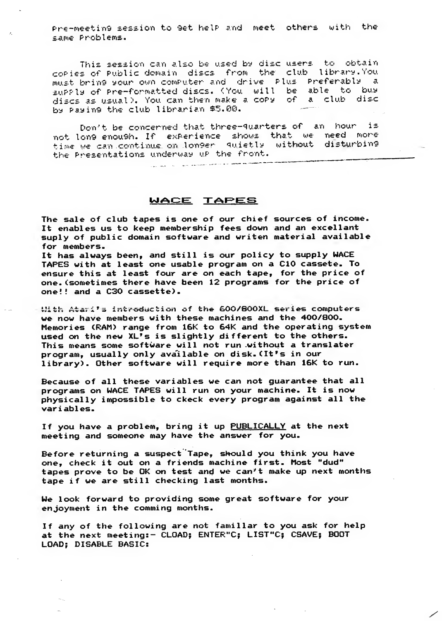pre-meetin9 session to 9et help arid meet others with the same Problems.

This session can also be used by disc users to obtain copies of Public domain discs from the club library.You must brio9 your own computer and drive Plus Preferably a suPPly of Pre-formatted discs. (You will be able to bus sure is of real of messed discuss when with the matrix is not all disc by Payin9 the club librarian \$3.00.

Don't be concerned that three-quarters of an hour is not lons enoush. If experience shows that we need more time we can continue on longer quietly without disturbing the Presentations underway uP the front.

## MACE TAPES

The sale of club tapes is one of our chief sources of income. It enables us to keep membership fees down and an excellant suply of public domain software and writen material available for members.

It has always been, and still is our policy to supply MACE TAPES with at least one usable program on a CIO cassete. To ensure this at least four are on each tape, for the price of one.(sometimes there have been 12 programs for the price of one!! and a C30 cassette).

With Atari's intr-oduction of the £00/600XL series computers we now have members with these machines and the 400/800. Memories (RAM) range from 16K to 64K and the operating system used on the new XL's is slightly different to the others. This means some software will not run .without a translater program, usually only available on disk.(It's in our library). Other software will require more than 1SK to run.

Because of all these variables we can not guarantee that all programs on MACE TAPES will run on your machine. It is now physically impossible to ckeck every program against all the variables.

If you have a problem, bring it up PUBLICALLY at the next meeting and someone may have the answer for you.

Before returning a suspect Tape, should you think you have one, check it out on <sup>a</sup> friends machine first. Most "dud" tapes prove to be OK on test and we can't make up next months tape if we are still checking last months.

Me look forward to providing some great software for your enjoyment in the comming months.

If any of the following are not familiar to you ask for help at the next meeting:— CL0AD; ENTER"C; LIST"C; CSAVEj BOOT LOAD; DISABLE BASIC: